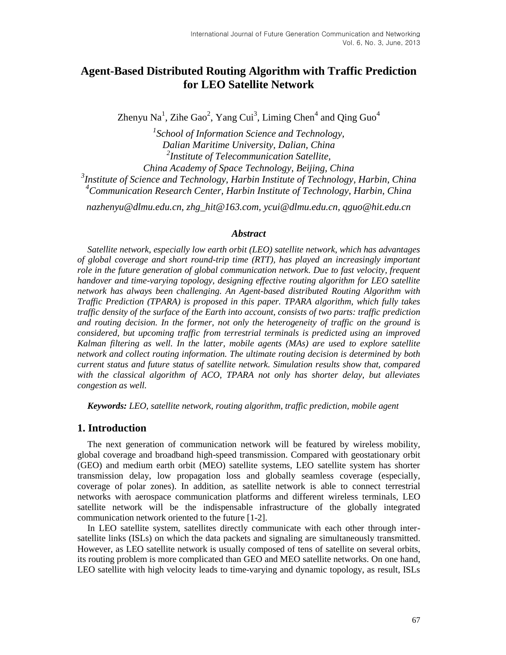# **Agent-Based Distributed Routing Algorithm with Traffic Prediction for LEO Satellite Network**

Zhenyu Na<sup>1</sup>, Zihe Gao<sup>2</sup>, Yang Cui<sup>3</sup>, Liming Chen<sup>4</sup> and Qing Guo<sup>4</sup>

 *School of Information Science and Technology, Dalian Maritime University, Dalian, China Institute of Telecommunication Satellite, China Academy of Space Technology, Beijing, China Institute of Science and Technology, Harbin Institute of Technology, Harbin, China Communication Research Center, Harbin Institute of Technology, Harbin, China*

*nazhenyu@dlmu.edu.cn, zhg\_hit@163.com, ycui@dlmu.edu.cn, qguo@hit.edu.cn*

#### *Abstract*

*Satellite network, especially low earth orbit (LEO) satellite network, which has advantages of global coverage and short round-trip time (RTT), has played an increasingly important role in the future generation of global communication network. Due to fast velocity, frequent handover and time-varying topology, designing effective routing algorithm for LEO satellite network has always been challenging. An Agent-based distributed Routing Algorithm with Traffic Prediction (TPARA) is proposed in this paper. TPARA algorithm, which fully takes traffic density of the surface of the Earth into account, consists of two parts: traffic prediction and routing decision. In the former, not only the heterogeneity of traffic on the ground is considered, but upcoming traffic from terrestrial terminals is predicted using an improved Kalman filtering as well. In the latter, mobile agents (MAs) are used to explore satellite network and collect routing information. The ultimate routing decision is determined by both current status and future status of satellite network. Simulation results show that, compared with the classical algorithm of ACO, TPARA not only has shorter delay, but alleviates congestion as well.*

*Keywords: LEO, satellite network, routing algorithm, traffic prediction, mobile agent*

## **1. Introduction**

The next generation of communication network will be featured by wireless mobility, global coverage and broadband high-speed transmission. Compared with geostationary orbit (GEO) and medium earth orbit (MEO) satellite systems, LEO satellite system has shorter transmission delay, low propagation loss and globally seamless coverage (especially, coverage of polar zones). In addition, as satellite network is able to connect terrestrial networks with aerospace communication platforms and different wireless terminals, LEO satellite network will be the indispensable infrastructure of the globally integrated communication network oriented to the future [1-2].

In LEO satellite system, satellites directly communicate with each other through intersatellite links (ISLs) on which the data packets and signaling are simultaneously transmitted. However, as LEO satellite network is usually composed of tens of satellite on several orbits, its routing problem is more complicated than GEO and MEO satellite networks. On one hand, LEO satellite with high velocity leads to time-varying and dynamic topology, as result, ISLs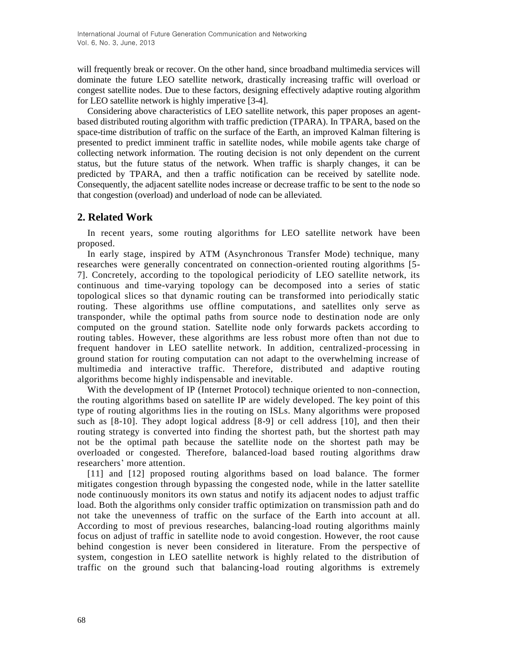will frequently break or recover. On the other hand, since broadband multimedia services will dominate the future LEO satellite network, drastically increasing traffic will overload or congest satellite nodes. Due to these factors, designing effectively adaptive routing algorithm for LEO satellite network is highly imperative [3-4].

Considering above characteristics of LEO satellite network, this paper proposes an agentbased distributed routing algorithm with traffic prediction (TPARA). In TPARA, based on the space-time distribution of traffic on the surface of the Earth, an improved Kalman filtering is presented to predict imminent traffic in satellite nodes, while mobile agents take charge of collecting network information. The routing decision is not only dependent on the current status, but the future status of the network. When traffic is sharply changes, it can be predicted by TPARA, and then a traffic notification can be received by satellite node. Consequently, the adjacent satellite nodes increase or decrease traffic to be sent to the node so that congestion (overload) and underload of node can be alleviated.

## **2. Related Work**

In recent years, some routing algorithms for LEO satellite network have been proposed.

In early stage, inspired by ATM (Asynchronous Transfer Mode) technique, many researches were generally concentrated on connection-oriented routing algorithms [5- 7]. Concretely, according to the topological [periodicity](app:ds:periodicity) of LEO satellite network, its continuous and time-varying topology can be decomposed into a series of static topological slices so that dynamic routing can be transformed into periodically static routing. These algorithms use offline computations, and satellites only serve as transponder, while the optimal paths from source node to destination node are only computed on the ground station. Satellite node only forwards packets according to routing tables. However, these algorithms are less robust more often than not due to frequent handover in LEO satellite network. In addition, centralized-processing in ground station for routing computation can not adapt to the overwhelming increase of multimedia and interactive traffic. Therefore, distributed and adaptive routing algorithms become highly indispensable and inevitable.

With the development of IP (Internet Protocol) technique oriented to non-connection, the routing algorithms based on satellite IP are widely developed. The key point of this type of routing algorithms lies in the routing on ISLs. Many algorithms were proposed such as [8-10]. They adopt logical address [8-9] or cell address [10], and then their routing strategy is converted into finding the shortest path, but the shortest path may not be the optimal path because the satellite node on the shortest path may be overloaded or congested. Therefore, balanced-load based routing algorithms draw researchers' more attention.

[11] and [12] proposed routing algorithms based on load balance. The former mitigates congestion through bypassing the congested node, while in the latter satellite node continuously monitors its own status and notify its adjacent nodes to adjust traffic load. Both the algorithms only consider traffic optimization on transmission path and do not take the unevenness of traffic on the surface of the Earth into account at all. According to most of previous researches, balancing-load routing algorithms mainly focus on adjust of traffic in satellite node to avoid congestion. However, the root cause behind congestion is never been considered in literature. From the perspective of system, congestion in LEO satellite network is highly related to the distribution of traffic on the ground such that balancing-load routing algorithms is extremely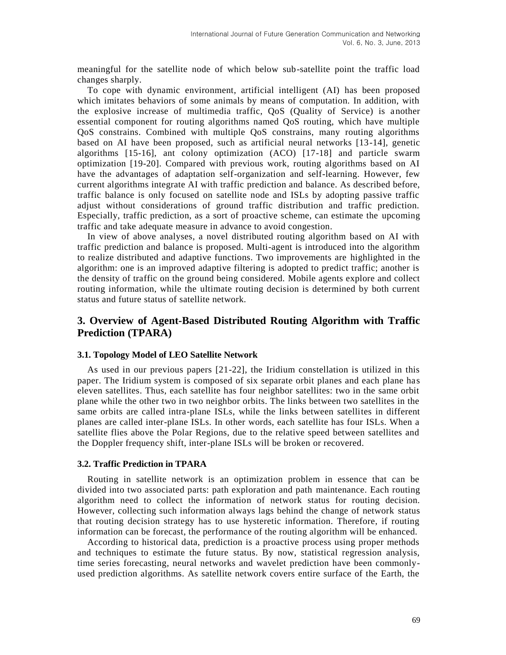meaningful for the satellite node of which below sub-satellite point the traffic load changes sharply.

To cope with dynamic environment, artificial intelligent (AI) has been proposed which imitates behaviors of some animals by means of computation. In addition, with the explosive increase of multimedia traffic, QoS (Quality of Service) is another essential component for routing algorithms named QoS routing, which have multiple QoS constrains. Combined with multiple QoS constrains, many routing algorithms based on AI have been proposed, such as artificial neural networks [13-14], genetic algorithms [15-16], ant colony optimization (ACO) [17-18] and particle swarm optimization [19-20]. Compared with previous work, routing algorithms based on AI have the advantages of adaptation self-organization and self-learning. However, few current algorithms integrate AI with traffic prediction and balance. As described before, traffic balance is only focused on satellite node and ISLs by adopting passive traffic adjust without considerations of ground traffic distribution and traffic prediction. Especially, traffic prediction, as a sort of proactive scheme, can estimate the upcoming traffic and take adequate measure in advance to avoid congestion.

In view of above analyses, a novel distributed routing algorithm based on AI with traffic prediction and balance is proposed. Multi-agent is introduced into the algorithm to realize distributed and adaptive functions. Two improvements are highlighted in the algorithm: one is an improved adaptive filtering is adopted to predict traffic; another is the density of traffic on the ground being considered. Mobile agents explore and collect routing information, while the ultimate routing decision is determined by both current status and future status of satellite network.

## **3. Overview of Agent-Based Distributed Routing Algorithm with Traffic Prediction (TPARA)**

### **3.1. Topology Model of LEO Satellite Network**

As used in our previous papers [21-22], the Iridium constellation is utilized in this paper. The Iridium system is composed of six separate orbit planes and each plane has eleven satellites. Thus, each satellite has four neighbor satellites: two in the same orbit plane while the other two in two neighbor orbits. The links between two satellites in the same orbits are called intra-plane ISLs, while the links between satellites in different planes are called inter-plane ISLs. In other words, each satellite has four ISLs. When a satellite flies above the Polar Regions, due to the relative speed between satellites and the Doppler frequency shift, inter-plane ISLs will be broken or recovered.

#### **3.2. Traffic Prediction in TPARA**

Routing in satellite network is an optimization problem in essence that can be divided into two associated parts: path exploration and path maintenance. Each routing algorithm need to collect the information of network status for routing decision. However, collecting such information always lags behind the change of network status that routing decision strategy has to use hysteretic information. Therefore, if routing information can be forecast, the performance of the routing algorithm will be enhanced.

According to historical data, prediction is a proactive process using proper methods and techniques to estimate the future status. By now, statistical regression analysis, time series forecasting, neural networks and wavelet prediction have been commonlyused prediction algorithms. As satellite network covers entire surface of the Earth, the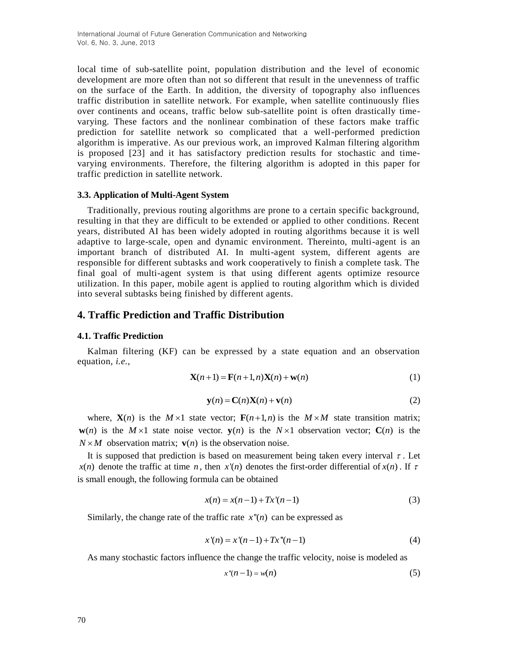local time of sub-satellite point, population distribution and the level of economic development are more often than not so different that result in the unevenness of traffic on the surface of the Earth. In addition, the diversity of topography also influences traffic distribution in satellite network. For example, when satellite continuously flies over continents and oceans, traffic below sub-satellite point is often drastically timevarying. These factors and the nonlinear combination of these factors make traffic prediction for satellite network so complicated that a well-performed prediction algorithm is imperative. As our previous work, an improved Kalman filtering algorithm is proposed [23] and it has satisfactory prediction results for stochastic and timevarying environments. Therefore, the filtering algorithm is adopted in this paper for traffic prediction in satellite network.

### **3.3. Application of Multi-Agent System**

Traditionally, previous routing algorithms are prone to a certain specific background, resulting in that they are difficult to be extended or applied to other conditions. Recent years, distributed AI has been widely adopted in routing algorithms because it is well adaptive to large-scale, open and dynamic environment. Thereinto, multi-agent is an important branch of distributed AI. In multi-agent system, different agents are responsible for different subtasks and work cooperatively to finish a complete task. The final goal of multi-agent system is that using different agents optimize resource utilization. In this paper, mobile agent is applied to routing algorithm which is divided into several subtasks being finished by different agents.

## **4. Traffic Prediction and Traffic Distribution**

#### **4.1. Traffic Prediction**

Kalman filtering (KF) can be expressed by a state equation and an observation equation, *i.e.*,

$$
\mathbf{X}(n+1) = \mathbf{F}(n+1,n)\mathbf{X}(n) + \mathbf{w}(n)
$$
 (1)

$$
\mathbf{y}(n) = \mathbf{C}(n)\mathbf{X}(n) + \mathbf{v}(n)
$$
 (2)

where,  $X(n)$  is the  $M \times 1$  state vector;  $F(n+1,n)$  is the  $M \times M$  state transition matrix; **w**(*n*) is the *M* ×1 state noise vector. **y**(*n*) is the *N* ×1 observation vector; **C**(*n*) is the  $N \times M$  observation matrix;  $\mathbf{v}(n)$  is the observation noise.

It is supposed that prediction is based on measurement being taken every interval  $\tau$ . Let  $x(n)$  denote the traffic at time *n*, then  $x'(n)$  denotes the first-order differential of  $x(n)$ . If  $\tau$ is small enough, the following formula can be obtained

$$
x(n) = x(n-1) + Tx'(n-1)
$$
 (3)

Similarly, the change rate of the traffic rate  $x''(n)$  can be expressed as

$$
x'(n) = x'(n-1) + Tx''(n-1)
$$
\n(4)

As many stochastic factors influence the change the traffic velocity, noise is modeled as

$$
x''(n-1) = w(n) \tag{5}
$$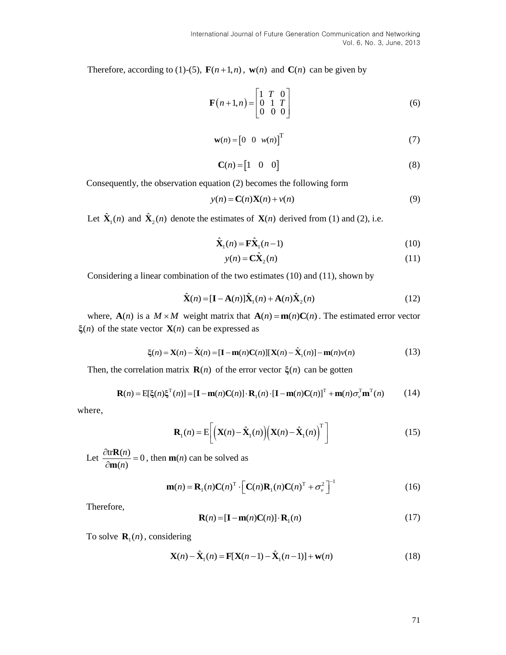Therefore, according to (1)-(5),  $\mathbf{F}(n+1,n)$ ,  $\mathbf{w}(n)$  and  $\mathbf{C}(n)$  can be given by

$$
\mathbf{F}(n+1,n) = \begin{bmatrix} 1 & T & 0 \\ 0 & 1 & T \\ 0 & 0 & 0 \end{bmatrix}
$$
 (6)

$$
\mathbf{w}(n) = \begin{bmatrix} 0 & 0 & w(n) \end{bmatrix}^{\mathrm{T}}
$$
 (7)

$$
\mathbf{C}(n) = \begin{bmatrix} 1 & 0 & 0 \end{bmatrix} \tag{8}
$$

Consequently, the observation equation (2) becomes the following form

$$
y(n) = \mathbf{C}(n)\mathbf{X}(n) + v(n)
$$
\n(9)

Let  $\hat{\mathbf{X}}_1(n)$  and  $\hat{\mathbf{X}}_2(n)$  denote the estimates of  $\mathbf{X}(n)$  derived from (1) and (2), i.e.

$$
\hat{\mathbf{X}}_1(n) = \mathbf{F}\hat{\mathbf{X}}_1(n-1)
$$
\n(10)

$$
y(n) = \mathbf{C}\hat{\mathbf{X}}_2(n) \tag{11}
$$

Considering a linear combination of the two estimates (10) and (11), shown by

$$
\hat{\mathbf{X}}(n) = [\mathbf{I} - \mathbf{A}(n)]\hat{\mathbf{X}}_1(n) + \mathbf{A}(n)\hat{\mathbf{X}}_2(n)
$$
\n(12)

where,  $\mathbf{A}(n)$  is a  $M \times M$  weight matrix that  $\mathbf{A}(n) = \mathbf{m}(n)\mathbf{C}(n)$ . The estimated error vector  $\xi(n)$  of the state vector  $X(n)$  can be expressed as

$$
\text{ector } \mathbf{X}(n) \text{ can be expressed as}
$$
\n
$$
\xi(n) = \mathbf{X}(n) - \hat{\mathbf{X}}(n) = [\mathbf{I} - \mathbf{m}(n)\mathbf{C}(n)][\mathbf{X}(n) - \hat{\mathbf{X}}_1(n)] - \mathbf{m}(n)v(n) \tag{13}
$$

Then, the correlation matrix 
$$
\mathbf{R}(n)
$$
 of the error vector  $\xi(n)$  can be gotten  
\n
$$
\mathbf{R}(n) = \mathbb{E}[\xi(n)\xi^{T}(n)] = [\mathbf{I} - \mathbf{m}(n)\mathbf{C}(n)] \cdot \mathbf{R}_{1}(n) \cdot [\mathbf{I} - \mathbf{m}(n)\mathbf{C}(n)]^{T} + \mathbf{m}(n)\sigma_{v}^{T}\mathbf{m}^{T}(n)
$$
\n(14)

where,

$$
\mathbf{R}_1(n) = \mathbf{E}\bigg[\bigg(\mathbf{X}(n) - \hat{\mathbf{X}}_1(n)\bigg)\bigg(\mathbf{X}(n) - \hat{\mathbf{X}}_1(n)\bigg)^T\bigg]
$$
(15)

Let  $\frac{\partial \text{tr} \mathbf{R}(n)}{\partial \text{tr} \mathbf{R}(n)} = 0$  $(n)$ *n n*  $\frac{\partial \text{tr} \mathbf{R}(n)}{\partial \text{tr} \mathbf{R}(n)}$  $\partial$ **R m** , then **m**(*n*) can be solved as

$$
\mathbf{m}(n) = \mathbf{R}_1(n)\mathbf{C}(n)^{\mathrm{T}} \cdot \left[\mathbf{C}(n)\mathbf{R}_1(n)\mathbf{C}(n)^{\mathrm{T}} + \sigma_v^2\right]^{-1}
$$
(16)

Therefore,

$$
\mathbf{R}(n) = [\mathbf{I} - \mathbf{m}(n)\mathbf{C}(n)] \cdot \mathbf{R}_1(n)
$$
 (17)

To solve  $\mathbf{R}_1(n)$ , considering

$$
\mathbf{X}(n) - \hat{\mathbf{X}}_1(n) = \mathbf{F}[\mathbf{X}(n-1) - \hat{\mathbf{X}}_1(n-1)] + \mathbf{w}(n)
$$
\n(18)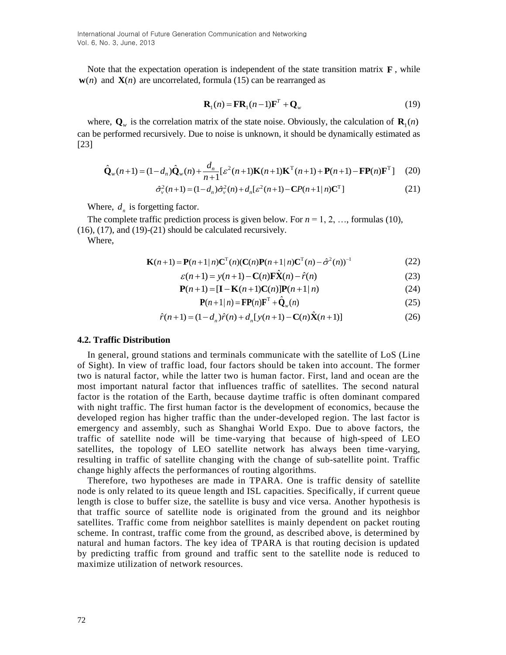Note that the expectation operation is independent of the state transition matrix  $\mathbf{F}$ , while  $w(n)$  and  $X(n)$  are uncorrelated, formula (15) can be rearranged as

$$
\mathbf{R}_1(n) = \mathbf{F} \mathbf{R}_1(n-1) \mathbf{F}^T + \mathbf{Q}_w
$$
 (19)

where,  $\mathbf{Q}_w$  is the correlation matrix of the state noise. Obviously, the calculation of  $\mathbf{R}_1(n)$ can be performed recursively. Due to noise is unknown, it should be dynamically estimated as [23]

$$
\hat{\mathbf{Q}}_{w}(n+1) = (1 - d_{n})\hat{\mathbf{Q}}_{w}(n) + \frac{d_{n}}{n+1} \left[ \varepsilon^{2}(n+1)\mathbf{K}(n+1)\mathbf{K}^{\mathrm{T}}(n+1) + \mathbf{P}(n+1) - \mathbf{F}\mathbf{P}(n)\mathbf{F}^{\mathrm{T}} \right] \tag{20}
$$
\n
$$
\hat{\sigma}_{v}^{2}(n+1) = (1 - d_{n})\hat{\sigma}_{v}^{2}(n) + d_{n}\left[ \varepsilon^{2}(n+1) - \mathbf{C}P(n+1|n)\mathbf{C}^{\mathrm{T}} \right] \tag{21}
$$

$$
n+1^{(n+1)/2} \tbinom{n+1}{n+1} \tbinom{n+1}{n+1} \tbinom{n+1}{n+1} \tbinom{n+1}{n+1} \tbinom{n+1}{n+1}
$$
(21)

Where,  $d_n$  is forgetting factor.

The complete traffic prediction process is given below. For  $n = 1, 2, \ldots$ , formulas (10), (16), (17), and (19)-(21) should be calculated recursively.

Where,

$$
\mathbf{K}(n+1) = \mathbf{P}(n+1|n)\mathbf{C}^{\mathrm{T}}(n)(\mathbf{C}(n)\mathbf{P}(n+1|n)\mathbf{C}^{\mathrm{T}}(n) - \hat{\sigma}^2(n))^{-1}
$$
(22)

$$
\varepsilon(n+1|n)\mathbf{C}^{\cdot}(n)(\mathbf{C}(n)\mathbf{P}(n+1|n)\mathbf{C}^{\cdot}(n)-\sigma^{\prime}(n))
$$
\n
$$
\varepsilon(n+1) = y(n+1) - \mathbf{C}(n)\mathbf{F}\hat{\mathbf{X}}(n) - \hat{r}(n) \tag{23}
$$

$$
\varepsilon(n+1) = y(n+1) - \mathbf{C}(n)\mathbf{FX}(n) - \hat{r}(n)
$$
\n
$$
\mathbf{P}(n+1) = [\mathbf{I} - \mathbf{K}(n+1)\mathbf{C}(n)]\mathbf{P}(n+1|n)
$$
\n(24)

$$
\mathbf{P}(n+1|n) = \mathbf{F}\mathbf{P}(n)\mathbf{F}^{\mathrm{T}} + \hat{\mathbf{Q}}_{w}(n)
$$
 (25)

$$
\mathbf{P}(n+1|n) = \mathbf{F}\mathbf{P}(n)\mathbf{F}^{\mathrm{T}} + \hat{\mathbf{Q}}_{w}(n)
$$
\n(25)  
\n
$$
\hat{r}(n+1) = (1 - d_{n})\hat{r}(n) + d_{n}[y(n+1) - \mathbf{C}(n)\hat{\mathbf{X}}(n+1)]
$$
\n(26)

#### **4.2. Traffic Distribution**

In general, ground stations and terminals communicate with the satellite of LoS (Line of Sight). In view of traffic load, four factors should be taken into account. The former two is natural factor, while the latter two is human factor. First, land and ocean are the most important natural factor that influences traffic of satellites. The second natural factor is the rotation of the Earth, because daytime traffic is often dominant compared with night traffic. The first human factor is the development of economics, because the developed region has higher traffic than the under-developed region. The last factor is emergency and assembly, such as Shanghai World Expo. Due to above factors, the traffic of satellite node will be time-varying that because of high-speed of LEO satellites, the topology of LEO satellite network has always been time -varying, resulting in traffic of satellite changing with the change of sub-satellite point. Traffic change highly affects the performances of routing algorithms.

Therefore, two hypotheses are made in TPARA. One is traffic density of satellite node is only related to its queue length and ISL capacities. Specifically, if current queue length is close to buffer size, the satellite is busy and vice versa. Another hypothesis is that traffic source of satellite node is originated from the ground and its neighbor satellites. Traffic come from neighbor satellites is mainly dependent on packet routing scheme. In contrast, traffic come from the ground, as described above, is determined by natural and human factors. The key idea of TPARA is that routing decision is updated by predicting traffic from ground and traffic sent to the satellite node is reduced to maximize utilization of network resources.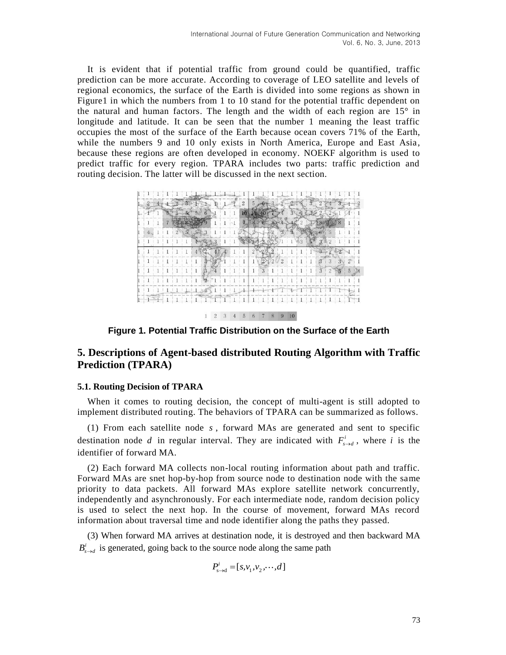It is evident that if potential traffic from ground could be quantified, traffic prediction can be more accurate. According to coverage of LEO satellite and levels of regional economics, the surface of the Earth is divided into some regions as shown in Figure1 in which the numbers from 1 to 10 stand for the potential traffic dependent on the natural and human factors. The length and the width of each region are 15° in longitude and latitude. It can be seen that the number 1 meaning the least traffic occupies the most of the surface of the Earth because ocean covers 71% of the Earth, while the numbers 9 and 10 only exists in North America, Europe and East Asia, because these regions are often developed in economy. NOEKF algorithm is used to predict traffic for every region. TPARA includes two parts: traffic prediction and routing decision. The latter will be discussed in the next section.

|   |  |                |            |         |  | $\overline{2}$ | 5 |   |             |           |   |                |   |  |
|---|--|----------------|------------|---------|--|----------------|---|---|-------------|-----------|---|----------------|---|--|
|   |  |                |            |         |  |                |   |   |             |           |   |                |   |  |
|   |  |                |            |         |  |                |   |   |             |           |   |                | 8 |  |
|   |  | $\overline{2}$ |            |         |  |                |   |   |             |           |   | 5              |   |  |
|   |  |                |            |         |  |                |   |   |             | $\beta$   |   | $\overline{2}$ |   |  |
|   |  |                |            |         |  |                |   |   |             |           |   |                |   |  |
|   |  |                |            |         |  |                |   |   | $2^{\circ}$ | $1\quad1$ |   | 3              |   |  |
| 1 |  |                | $\colon 1$ | $\beta$ |  |                |   | 3 |             |           | 3 | $^{2}$         |   |  |
|   |  |                |            | 12      |  |                |   |   |             |           |   |                |   |  |
|   |  |                |            |         |  |                |   |   |             |           |   |                |   |  |
|   |  |                |            |         |  |                |   |   |             |           |   |                |   |  |

 $1 \t2 \t3 \t4 \t5 \t6 \t7 \t8 \t9 \t10$ 

**Figure 1. Potential Traffic Distribution on the Surface of the Earth**

## **5. Descriptions of Agent-based distributed Routing Algorithm with Traffic Prediction (TPARA)**

#### **5.1. Routing Decision of TPARA**

When it comes to routing decision, the concept of multi-agent is still adopted to implement distributed routing. The behaviors of TPARA can be summarized as follows.

(1) From each satellite node *s* , forward MAs are generated and sent to specific destination node *d* in regular interval. They are indicated with  $F_{s\to d}^i$ , where *i* is the identifier of forward MA.

(2) Each forward MA collects non-local routing information about path and traffic. Forward MAs are snet hop-by-hop from source node to destination node with the same priority to data packets. All forward MAs explore satellite network concurrently, independently and asynchronously. For each intermediate node, random decision policy is used to select the next hop. In the course of movement, forward MAs record information about traversal time and node identifier along the paths they passed.

(3) When forward MA arrives at destination node, it is destroyed and then backward MA  $B_{s\rightarrow d}^{i}$  is generated, going back to the source node along the same path

$$
P_{s\to d}^i = [s, v_1, v_2, \cdots, d]
$$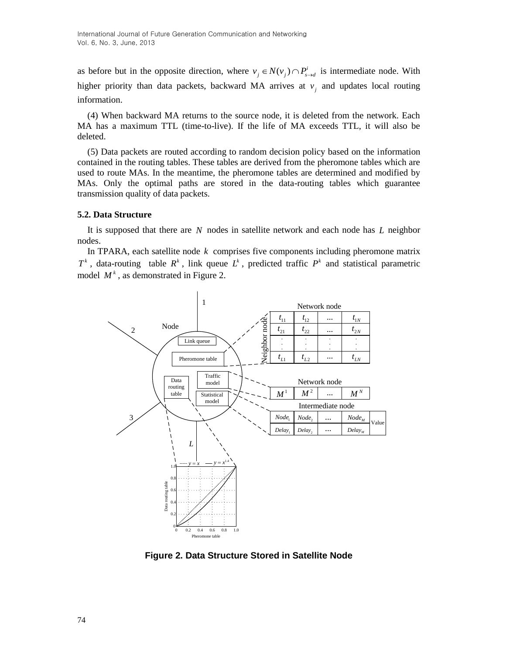as before but in the opposite direction, where  $v_j \in N(v_j) \cap P_{s \to d}^i$  is intermediate node. With higher priority than data packets, backward MA arrives at  $v_i$  and updates local routing information.

(4) When backward MA returns to the source node, it is deleted from the network. Each MA has a maximum TTL (time-to-live). If the life of MA exceeds TTL, it will also be deleted.

(5) Data packets are routed according to random decision policy based on the information contained in the routing tables. These tables are derived from the pheromone tables which are used to route MAs. In the meantime, the pheromone tables are determined and modified by MAs. Only the optimal paths are stored in the data-routing tables which guarantee transmission quality of data packets.

### **5.2. Data Structure**

It is supposed that there are N nodes in satellite network and each node has L neighbor nodes.

In TPARA, each satellite node *k* comprises five components including pheromone matrix  $T^k$ , data-routing table  $R^k$ , link queue  $L^k$ , predicted traffic  $P^k$  and statistical parametric model  $M^k$ , as demonstrated in Figure 2.



**Figure 2. Data Structure Stored in Satellite Node**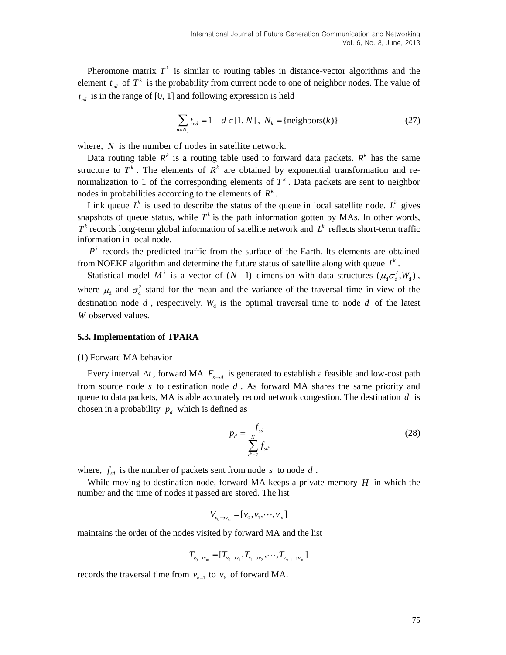Pheromone matrix  $T^k$  is similar to routing tables in distance-vector algorithms and the element  $t_{nd}$  of  $T^k$  is the probability from current node to one of neighbor nodes. The value of  $t_{nd}$  is in the range of [0, 1] and following expression is held

$$
\sum_{n \in N_k} t_{nd} = 1 \quad d \in [1, N], \ N_k = \{ \text{neighbors}(k) \}
$$
 (27)

where, N is the number of nodes in satellite network.

Data routing table  $R^k$  is a routing table used to forward data packets.  $R^k$  has the same structure to  $T^k$ . The elements of  $R^k$  are obtained by exponential transformation and renormalization to 1 of the corresponding elements of  $T<sup>k</sup>$ . Data packets are sent to neighbor nodes in probabilities according to the elements of  $R^k$ .

Link queue  $L^k$  is used to describe the status of the queue in local satellite node.  $L^k$  gives snapshots of queue status, while  $T<sup>k</sup>$  is the path information gotten by MAs. In other words,  $T^k$  records long-term global information of satellite network and  $L^k$  reflects short-term traffic information in local node.

 $P<sup>k</sup>$  records the predicted traffic from the surface of the Earth. Its elements are obtained from NOEKF algorithm and determine the future status of satellite along with queue  $L^k$ .

Statistical model  $M^k$  is a vector of  $(N-1)$ -dimension with data structures  $(\mu_d \sigma_d^2, W_d)$ , where  $\mu_d$  and  $\sigma_d^2$  stand for the mean and the variance of the traversal time in view of the destination node  $d$ , respectively.  $W_d$  is the optimal traversal time to node  $d$  of the latest *W* observed values.

#### **5.3. Implementation of TPARA**

#### (1) Forward MA behavior

Every interval  $\Delta t$ , forward MA  $F_{s \to d}$  is generated to establish a feasible and low-cost path from source node  $s$  to destination node  $d$ . As forward MA shares the same priority and queue to data packets, MA is able accurately record network congestion. The destination *d* is chosen in a probability  $p_d$  which is defined as

$$
p_d = \frac{f_{sd}}{\sum_{d'=1}^{N} f_{sd}}\tag{28}
$$

where,  $f_{sd}$  is the number of packets sent from node s to node d.

While moving to destination node, forward MA keeps a private memory  $H$  in which the number and the time of nodes it passed are stored. The list

$$
V_{\nu_0\to\nu_m}=[\nu_0,\nu_1,\cdots,\nu_m]
$$

maintains the order of the nodes visited by forward MA and the list

$$
T_{v_0 \rightarrow v_m} = [T_{v_0 \rightarrow v_1}, T_{v_1 \rightarrow v_2}, \cdots, T_{v_{m-1} \rightarrow v_m}]
$$

records the traversal time from  $v_{k-1}$  to  $v_k$  of forward MA.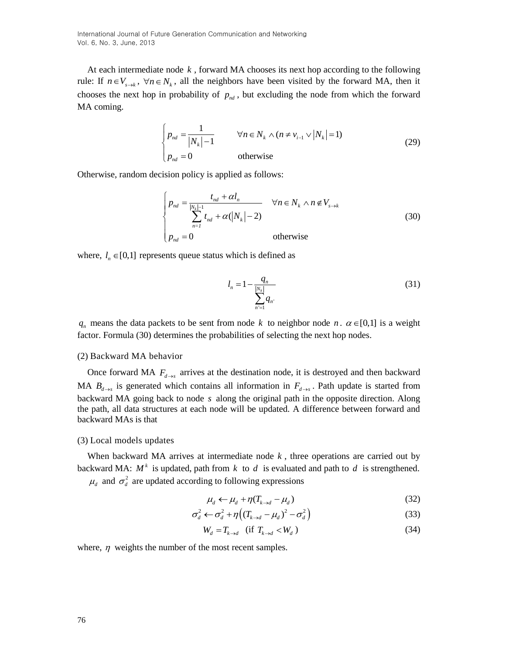International Journal of Future Generation Communication and Networking Vol. 6, No. 3, June, 2013

At each intermediate node *k* , forward MA chooses its next hop according to the following rule: If  $n \in V_{s \to k}$ ,  $\forall n \in N_k$ , all the neighbors have been visited by the forward MA, then it chooses the next hop in probability of  $p_{nd}$ , but excluding the node from which the forward MA coming.

$$
\begin{cases}\np_{nd} = \frac{1}{|N_k| - 1} & \forall n \in N_k \land (n \neq v_{i-1} \lor |N_k| = 1) \\
p_{nd} = 0 & \text{otherwise}\n\end{cases}
$$
\n(29)

Otherwise, random decision policy is applied as follows:

$$
\begin{cases}\np_{nd} = \frac{t_{nd} + \alpha l_n}{\sum_{n=1}^{N_k - 1} t_{nd} + \alpha (|N_k| - 2)} & \forall n \in N_k \land n \notin V_{s \to k} \\
p_{nd} = 0 & \text{otherwise}\n\end{cases}
$$
\n(30)

where,  $l_n \in [0,1]$  represents queue status which is defined as

$$
l_n = 1 - \frac{q_n}{\sum_{n'=1}^{\lfloor N_k \rfloor} q_n} \tag{31}
$$

 $q_n$  means the data packets to be sent from node k to neighbor node n.  $\alpha \in [0,1]$  is a weight factor. Formula (30) determines the probabilities of selecting the next hop nodes.

#### (2) Backward MA behavior

Once forward MA  $F_{d \to s}$  arrives at the destination node, it is destroyed and then backward MA  $B_{d\rightarrow s}$  is generated which contains all information in  $F_{d\rightarrow s}$ . Path update is started from backward MA going back to node s along the original path in the opposite direction. Along the path, all data structures at each node will be updated. A difference between forward and backward MAs is that

#### (3) Local models updates

When backward MA arrives at intermediate node  $k$ , three operations are carried out by backward MA:  $M^k$  is updated, path from  $k$  to  $d$  is evaluated and path to  $d$  is strengthened.

 $\mu_d$  and  $\sigma_d^2$  are updated according to following expressions

$$
\mu_d \leftarrow \mu_d + \eta (T_{k \to d} - \mu_d) \tag{32}
$$

$$
\sigma_d^2 \leftarrow \sigma_d^2 + \eta \left( \left( T_{k \to d} - \mu_d \right)^2 - \sigma_d^2 \right) \tag{33}
$$

$$
W_d = T_{k \to d} \quad \text{(if } T_{k \to d} < W_d \text{)}
$$
\n(34)

where,  $\eta$  weights the number of the most recent samples.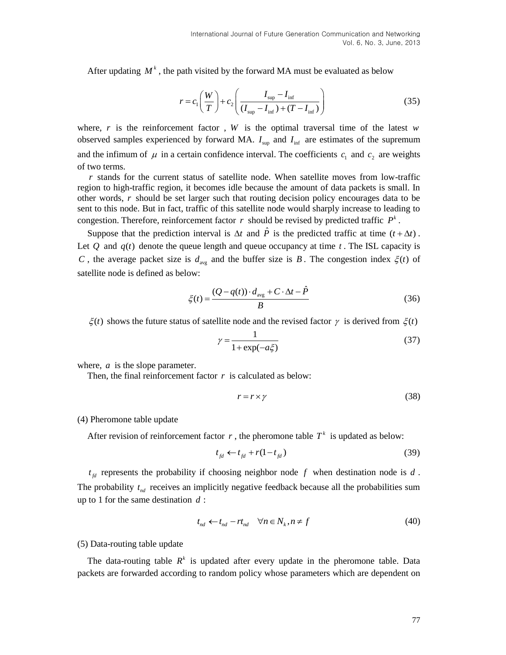After updating  $M^k$ , the path visited by the forward MA must be evaluated as below

$$
r = c_1 \left(\frac{W}{T}\right) + c_2 \left(\frac{I_{\rm sup} - I_{\rm inf}}{(I_{\rm sup} - I_{\rm inf}) + (T - I_{\rm inf})}\right)
$$
(35)

where,  $r$  is the reinforcement factor,  $W$  is the optimal traversal time of the latest  $w$ observed samples experienced by forward MA.  $I_{\text{sup}}$  and  $I_{\text{inf}}$  are estimates of the supremum and the infimum of  $\mu$  in a certain confidence interval. The coefficients  $c_1$  and  $c_2$  are weights of two terms.

*r* stands for the current status of satellite node. When satellite moves from low-traffic region to high-traffic region, it becomes idle because the amount of data packets is small. In other words, *r* should be set larger such that routing decision policy encourages data to be sent to this node. But in fact, traffic of this satellite node would sharply increase to leading to congestion. Therefore, reinforcement factor  $r$  should be revised by predicted traffic  $P^k$ .

Suppose that the prediction interval is  $\Delta t$  and  $\hat{P}$  is the predicted traffic at time  $(t + \Delta t)$ . Let  $Q$  and  $q(t)$  denote the queue length and queue occupancy at time  $t$ . The ISL capacity is *C*, the average packet size is  $d_{avg}$  and the buffer size is *B*. The congestion index  $\xi(t)$  of satellite node is defined as below:

$$
\zeta(t) = \frac{(Q - q(t)) \cdot d_{\text{avg}} + C \cdot \Delta t - \hat{P}}{B} \tag{36}
$$

 $\xi(t)$  shows the future status of satellite node and the revised factor  $\gamma$  is derived from  $\xi(t)$ 

$$
\gamma = \frac{1}{1 + \exp(-a\xi)}\tag{37}
$$

where, *a* is the slope parameter.

Then, the final reinforcement factor  $r$  is calculated as below:

$$
r = r \times \gamma \tag{38}
$$

#### (4) Pheromone table update

After revision of reinforcement factor  $r$ , the pheromone table  $T^k$  is updated as below:

$$
t_{fd} \leftarrow t_{fd} + r(1 - t_{fd}) \tag{39}
$$

 $t_{fd}$  represents the probability if choosing neighbor node f when destination node is d. The probability  $t_{nd}$  receives an implicitly negative feedback because all the probabilities sum up to 1 for the same destination *d* :

$$
t_{nd} \leftarrow t_{nd} - rt_{nd} \quad \forall n \in N_k, n \neq f \tag{40}
$$

(5) Data-routing table update

The data-routing table  $R^k$  is updated after every update in the pheromone table. Data packets are forwarded according to random policy whose parameters which are dependent on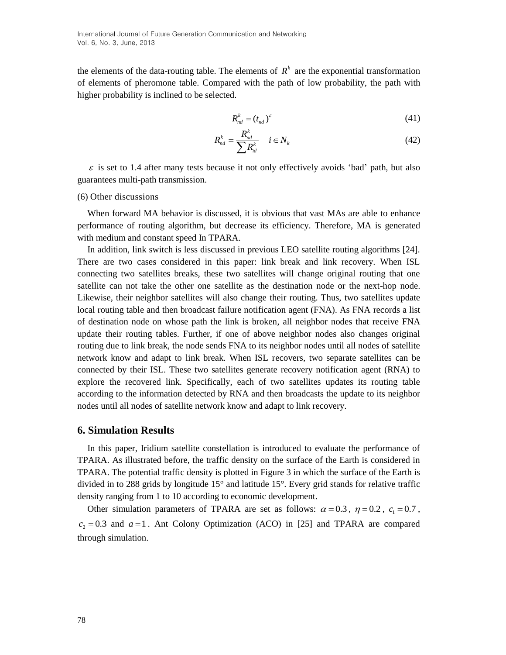the elements of the data-routing table. The elements of  $R<sup>k</sup>$  are the exponential transformation of elements of pheromone table. Compared with the path of low probability, the path with higher probability is inclined to be selected.

$$
R_{nd}^k = (t_{nd})^\varepsilon \tag{41}
$$

$$
R_{nd}^k = \frac{R_{nd}^k}{\sum R_{id}^k} \quad i \in N_k \tag{42}
$$

 $\varepsilon$  is set to 1.4 after many tests because it not only effectively avoids 'bad' path, but also guarantees multi-path transmission.

#### (6) Other discussions

When forward MA behavior is discussed, it is obvious that vast MAs are able to enhance performance of routing algorithm, but decrease its efficiency. Therefore, MA is generated with medium and constant speed In TPARA.

In addition, link switch is less discussed in previous LEO satellite routing algorithms [24]. There are two cases considered in this paper: link break and link recovery. When ISL connecting two satellites breaks, these two satellites will change original routing that one satellite can not take the other one satellite as the destination node or the next-hop node. Likewise, their neighbor satellites will also change their routing. Thus, two satellites update local routing table and then broadcast failure notification agent (FNA). As FNA records a list of destination node on whose path the link is broken, all neighbor nodes that receive FNA update their routing tables. Further, if one of above neighbor nodes also changes original routing due to link break, the node sends FNA to its neighbor nodes until all nodes of satellite network know and adapt to link break. When ISL recovers, two separate satellites can be connected by their ISL. These two satellites generate recovery notification agent (RNA) to explore the recovered link. Specifically, each of two satellites updates its routing table according to the information detected by RNA and then broadcasts the update to its neighbor nodes until all nodes of satellite network know and adapt to link recovery.

### **6. Simulation Results**

In this paper, Iridium satellite constellation is introduced to evaluate the performance of TPARA. As illustrated before, the traffic density on the surface of the Earth is considered in TPARA. The potential traffic density is plotted in Figure 3 in which the surface of the Earth is divided in to 288 grids by longitude 15° and latitude 15°. Every grid stands for relative traffic density ranging from 1 to 10 according to economic development.

Other simulation parameters of TPARA are set as follows:  $\alpha = 0.3$ ,  $\eta = 0.2$ ,  $c_1 = 0.7$ ,  $c_2 = 0.3$  and  $a = 1$ . Ant Colony Optimization (ACO) in [25] and TPARA are compared through simulation.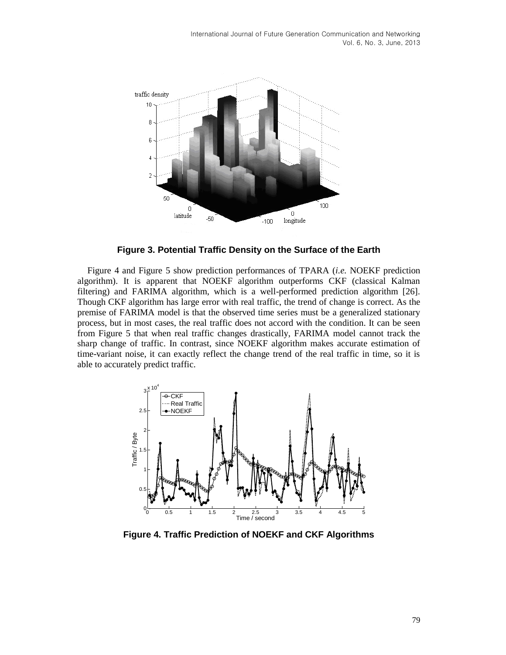

**Figure 3. Potential Traffic Density on the Surface of the Earth**

Figure 4 and Figure 5 show prediction performances of TPARA (*i.e.* NOEKF prediction algorithm). It is apparent that NOEKF algorithm outperforms CKF (classical Kalman filtering) and FARIMA algorithm, which is a well-performed prediction algorithm [26]. Though CKF algorithm has large error with real traffic, the trend of change is correct. As the premise of FARIMA model is that the observed time series must be a generalized stationary process, but in most cases, the real traffic does not accord with the condition. It can be seen from Figure 5 that when real traffic changes drastically, FARIMA model cannot track the sharp change of traffic. In contrast, since NOEKF algorithm makes accurate estimation of time-variant noise, it can exactly reflect the change trend of the real traffic in time, so it is able to accurately predict traffic.



**Figure 4. Traffic Prediction of NOEKF and CKF Algorithms**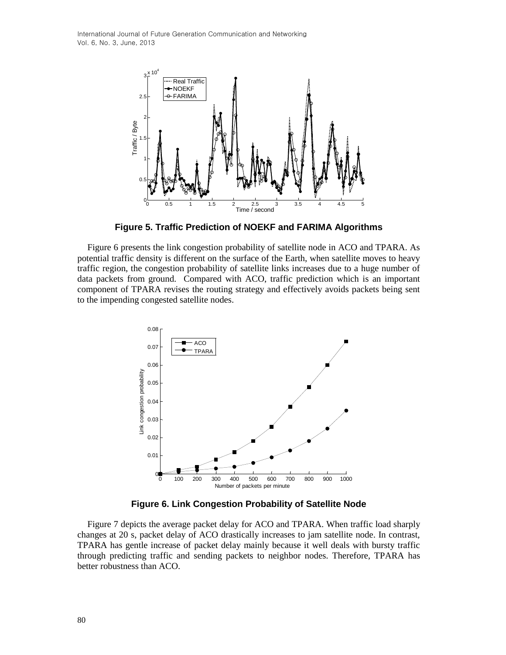International Journal of Future Generation Communication and Networking Vol. 6, No. 3, June, 2013



**Figure 5. Traffic Prediction of NOEKF and FARIMA Algorithms**

Figure 6 presents the link congestion probability of satellite node in ACO and TPARA. As potential traffic density is different on the surface of the Earth, when satellite moves to heavy traffic region, the congestion probability of satellite links increases due to a huge number of data packets from ground. Compared with ACO, traffic prediction which is an important component of TPARA revises the routing strategy and effectively avoids packets being sent to the impending congested satellite nodes.



**Figure 6. Link Congestion Probability of Satellite Node**

Figure 7 depicts the average packet delay for ACO and TPARA. When traffic load sharply changes at 20 s, packet delay of ACO drastically increases to jam satellite node. In contrast, TPARA has gentle increase of packet delay mainly because it well deals with bursty traffic through predicting traffic and sending packets to neighbor nodes. Therefore, TPARA has better robustness than ACO.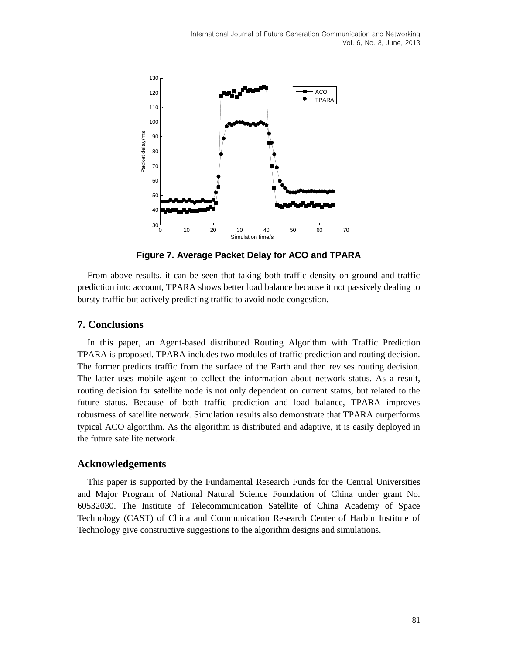

**Figure 7. Average Packet Delay for ACO and TPARA**

From above results, it can be seen that taking both traffic density on ground and traffic prediction into account, TPARA shows better load balance because it not passively dealing to bursty traffic but actively predicting traffic to avoid node congestion.

### **7. Conclusions**

In this paper, an Agent-based distributed Routing Algorithm with Traffic Prediction TPARA is proposed. TPARA includes two modules of traffic prediction and routing decision. The former predicts traffic from the surface of the Earth and then revises routing decision. The latter uses mobile agent to collect the information about network status. As a result, routing decision for satellite node is not only dependent on current status, but related to the future status. Because of both traffic prediction and load balance, TPARA improves robustness of satellite network. Simulation results also demonstrate that TPARA outperforms typical ACO algorithm. As the algorithm is distributed and adaptive, it is easily deployed in the future satellite network.

### **Acknowledgements**

This paper is supported by the Fundamental Research Funds for the Central Universities and Major Program of National Natural Science Foundation of China under grant No. 60532030. The Institute of Telecommunication Satellite of China Academy of Space Technology (CAST) of China and Communication Research Center of Harbin Institute of Technology give constructive suggestions to the algorithm designs and simulations.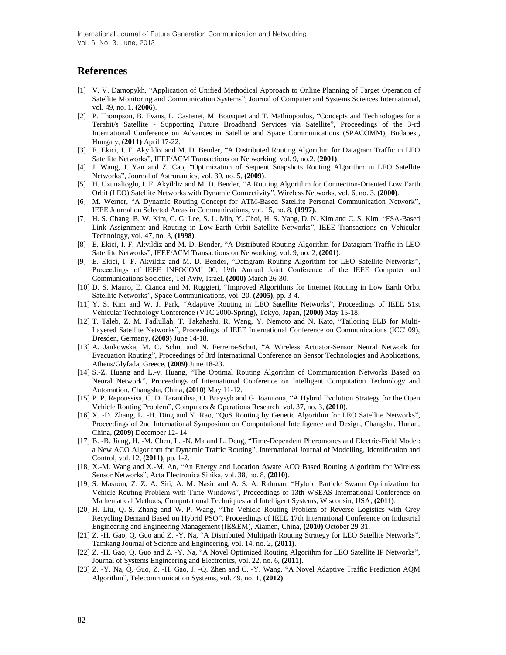International Journal of Future Generation Communication and Networking Vol. 6, No. 3, June, 2013

### **References**

- [1] V. V. Darnopykh, "Application of Unified Methodical Approach to Online Planning of Target Operation of Satellite Monitoring and Communication Systems", Journal of Computer and Systems Sciences International, vol. 49, no. 1, **(2006)**.
- [2] P. Thompson, B. Evans, L. Castenet, M. Bousquet and T. Mathiopoulos, "Concepts and Technologies for a Terabit/s Satellite - Supporting Future Broadband Services via Satellite", Proceedings of the 3-rd International Conference on Advances in Satellite and Space Communications (SPACOMM), Budapest, Hungary, **(2011)** April 17-22.
- [3] E. Ekici, I. F. Akyildiz and M. D. Bender, "A Distributed Routing Algorithm for Datagram Traffic in LEO Satellite Networks", IEEE/ACM Transactions on Networking, vol. 9, no.2, **(2001)**.
- [4] J. Wang, J. Yan and Z. Cao, "Optimization of Sequent Snapshots Routing Algorithm in LEO Satellite Networks", Journal of Astronautics, vol. 30, no. 5, **(2009)**.
- [5] H. Uzunalioglu, I. F. Akyildiz and M. D. Bender, "A Routing Algorithm for Connection-Oriented Low Earth Orbit (LEO) Satellite Networks with Dynamic Connectivity", Wireless Networks, vol. 6, no. 3, **(2000)**.
- [6] M. Werner, "A Dynamic Routing Concept for ATM-Based Satellite Personal Communication Network", IEEE Journal on Selected Areas in Communications, vol. 15, no. 8, **(1997)**.
- [7] H. S. Chang, B. W. Kim, C. G. Lee, S. L. Min, Y. Choi, H. S. Yang, D. N. Kim and C. S. Kim, "FSA-Based Link Assignment and Routing in Low-Earth Orbit Satellite Networks", IEEE Transactions on Vehicular Technology, vol. 47, no. 3, **(1998)**.
- [8] E. Ekici, I. F. Akyildiz and M. D. Bender, "A Distributed Routing Algorithm for Datagram Traffic in LEO Satellite Networks", IEEE/ACM Transactions on Networking, vol. 9, no. 2, **(2001)**.
- [9] E. Ekici, I. F. Akyildiz and M. D. Bender, "Datagram Routing Algorithm for LEO Satellite Networks", Proceedings of IEEE INFOCOM' 00, 19th Annual Joint Conference of the IEEE Computer and Communications Societies, Tel Aviv, Israel, **(2000)** March 26-30.
- [10] D. S. Mauro, E. Cianca and M. Ruggieri, "Improved Algorithms for Internet Routing in Low Earth Orbit Satellite Networks", Space Communications, vol. 20, **(2005)**, pp. 3-4.
- [11] Y. S. Kim and W. J. Park, "Adaptive Routing in LEO Satellite Networks", Proceedings of IEEE 51st Vehicular Technology Conference (VTC 2000-Spring), Tokyo, Japan, **(2000)** May 15-18.
- [12] T. Taleb, Z. M. Fadlullah, T. Takahashi, R. Wang, Y. Nemoto and N. Kato, "Tailoring ELB for Multi-Layered Satellite Networks", Proceedings of IEEE International Conference on Communications (ICC' 09), Dresden, Germany, **(2009)** June 14-18.
- [13] A. Jankowska, M. C. Schut and N. Ferreira-Schut, "A Wireless Actuator-Sensor Neural Network for Evacuation Routing", Proceedings of 3rd International Conference on Sensor Technologies and Applications, Athens/Glyfada, Greece, **(2009)** June 18-23.
- [14] S.-Z. Huang and L.-y. Huang, "The Optimal Routing Algorithm of Communication Networks Based on Neural Network", Proceedings of International Conference on Intelligent Computation Technology and Automation, Changsha, China, **(2010)** May 11-12.
- [15] P. P. Repoussisa, C. D. Tarantilisa, O. Bräysyb and G. Ioannoua, "A Hybrid Evolution Strategy for the Open Vehicle Routing Problem", Computers & Operations Research, vol. 37, no. 3, **(2010)**.
- [16] X. -D. Zhang, L. -H. Ding and Y. Rao, "QoS Routing by Genetic Algorithm for LEO Satellite Networks", Proceedings of 2nd International Symposium on Computational Intelligence and Design, Changsha, Hunan, China, **(2009)** December 12- 14.
- [17] B. -B. Jiang, H. -M. Chen, L. -N. Ma and L. Deng, "Time-Dependent Pheromones and Electric-Field Model: a New ACO Algorithm for Dynamic Traffic Routing", International Journal of Modelling, Identification and Control, vol. 12, **(2011)**, pp. 1-2.
- [18] X.-M. Wang and X.-M. An, "An Energy and Location Aware ACO Based Routing Algorithm for Wireless Sensor Networks", Acta Electronica Sinika, vol. 38, no. 8, **(2010)**.
- [19] S. Masrom, Z. Z. A. Siti, A. M. Nasir and A. S. A. Rahman, "Hybrid Particle Swarm Optimization for Vehicle Routing Problem with Time Windows", Proceedings of 13th WSEAS International Conference on Mathematical Methods, Computational Techniques and Intelligent Systems, Wisconsin, USA, **(2011)**.
- [20] H. Liu, Q.-S. Zhang and W.-P. Wang, "The Vehicle Routing Problem of Reverse Logistics with Grey Recycling Demand Based on Hybrid PSO", Proceedings of IEEE 17th International Conference on Industrial Engineering and Engineering Management (IE&EM), Xiamen, China, **(2010)** October 29-31.
- [21] Z. -H. Gao, Q. Guo and Z. -Y. Na, "A Distributed Multipath Routing Strategy for LEO Satellite Networks", Tamkang Journal of Science and Engineering, vol. 14, no. 2, **(2011)**.
- [22] Z. -H. Gao, Q. Guo and Z. -Y. Na, "A Novel Optimized Routing Algorithm for LEO Satellite IP Networks", Journal of Systems Engineering and Electronics, vol. 22, no. 6, **(2011)**.
- [23] Z. -Y. Na, Q. Guo, Z. -H. Gao, J. -Q. Zhen and C. -Y. Wang, "A Novel Adaptive Traffic Prediction AQM Algorithm", Telecommunication Systems, vol. 49, no. 1, **(2012)**.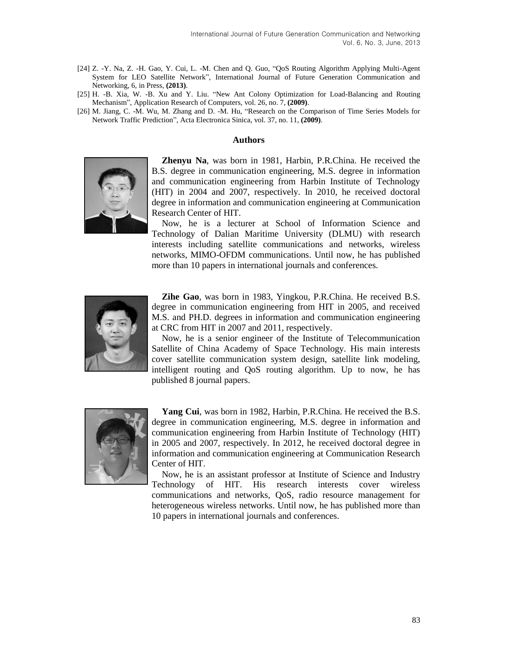- [24] Z. -Y. Na, Z. -H. Gao, Y. Cui, L. -M. Chen and Q. Guo, "QoS Routing Algorithm Applying Multi-Agent System for LEO Satellite Network", International Journal of Future Generation Communication and Networking, 6, in Press, **(2013)**.
- [25] H. -B. Xia, W. -B. Xu and Y. Liu. "New Ant Colony Optimization for Load-Balancing and Routing Mechanism", Application Research of Computers, vol. 26, no. 7, **(2009)**.
- [26] M. Jiang, C. -M. Wu, M. Zhang and D. -M. Hu, "Research on the Comparison of Time Series Models for Network Traffic Prediction", Acta Electronica Sinica, vol. 37, no. 11, **(2009)**.

#### **Authors**



**Zhenyu Na**, was born in 1981, Harbin, P.R.China. He received the B.S. degree in communication engineering, M.S. degree in information and communication engineering from Harbin Institute of Technology (HIT) in 2004 and 2007, respectively. In 2010, he received doctoral degree in information and communication engineering at Communication Research Center of HIT.

Now, he is a lecturer at School of Information Science and Technology of Dalian Maritime University (DLMU) with research interests including satellite communications and networks, wireless networks, MIMO-OFDM communications. Until now, he has published more than 10 papers in international journals and conferences.



**Zihe Gao**, was born in 1983, Yingkou, P.R.China. He received B.S. degree in communication engineering from HIT in 2005, and received M.S. and PH.D. degrees in information and communication engineering at CRC from HIT in 2007 and 2011, respectively.

Now, he is a senior engineer of the Institute of Telecommunication Satellite of China Academy of Space Technology. His main interests cover satellite communication system design, satellite link modeling, intelligent routing and QoS routing algorithm. Up to now, he has published 8 journal papers.



**Yang Cui**, was born in 1982, Harbin, P.R.China. He received the B.S. degree in communication engineering, M.S. degree in information and communication engineering from Harbin Institute of Technology (HIT) in 2005 and 2007, respectively. In 2012, he received doctoral degree in information and communication engineering at Communication Research Center of HIT.

Now, he is an assistant professor at Institute of Science and Industry Technology of HIT. His research interests cover wireless communications and networks, QoS, radio resource management for heterogeneous wireless networks. Until now, he has published more than 10 papers in international journals and conferences.